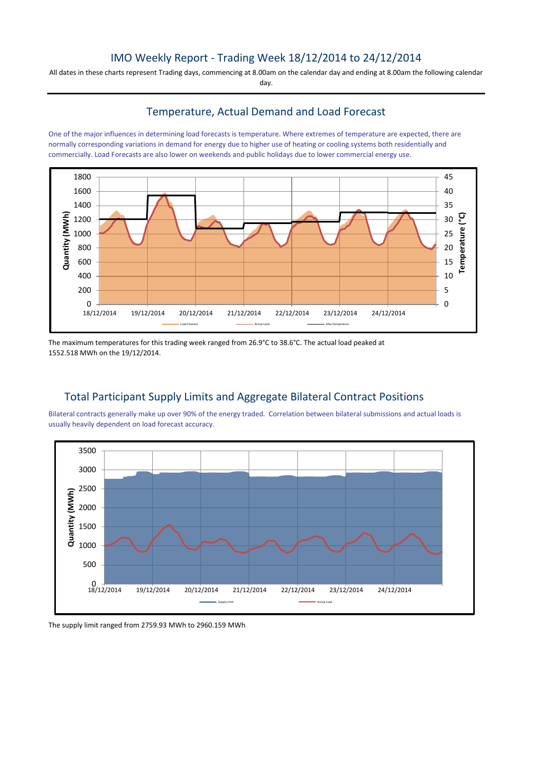### IMO Weekly Report - Trading Week 18/12/2014 to 24/12/2014

All dates in these charts represent Trading days, commencing at 8.00am on the calendar day and ending at 8.00am the following calendar day.

#### Temperature, Actual Demand and Load Forecast

One of the major influences in determining load forecasts is temperature. Where extremes of temperature are expected, there are normally corresponding variations in demand for energy due to higher use of heating or cooling systems both residentially and commercially. Load Forecasts are also lower on weekends and public holidays due to lower commercial energy use.



The maximum temperatures for this trading week ranged from 26.9°C to 38.6°C. The actual load peaked at 1552.518 MWh on the 19/12/2014.

## Total Participant Supply Limits and Aggregate Bilateral Contract Positions

Bilateral contracts generally make up over 90% of the energy traded. Correlation between bilateral submissions and actual loads is usually heavily dependent on load forecast accuracy.



The supply limit ranged from 2759.93 MWh to 2960.159 MWh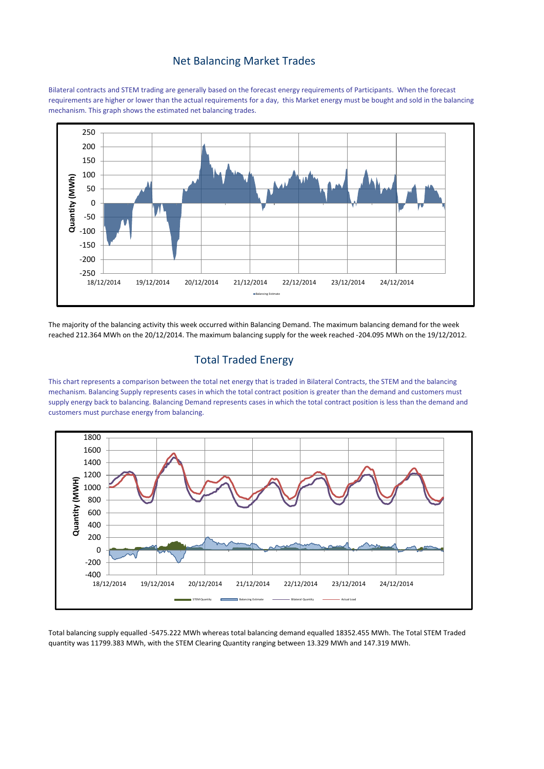#### Net Balancing Market Trades

Bilateral contracts and STEM trading are generally based on the forecast energy requirements of Participants. When the forecast requirements are higher or lower than the actual requirements for a day, this Market energy must be bought and sold in the balancing mechanism. This graph shows the estimated net balancing trades.



The majority of the balancing activity this week occurred within Balancing Demand. The maximum balancing demand for the week reached 212.364 MWh on the 20/12/2014. The maximum balancing supply for the week reached -204.095 MWh on the 19/12/2012.

## Total Traded Energy

This chart represents a comparison between the total net energy that is traded in Bilateral Contracts, the STEM and the balancing mechanism. Balancing Supply represents cases in which the total contract position is greater than the demand and customers must supply energy back to balancing. Balancing Demand represents cases in which the total contract position is less than the demand and customers must purchase energy from balancing.



Total balancing supply equalled -5475.222 MWh whereas total balancing demand equalled 18352.455 MWh. The Total STEM Traded quantity was 11799.383 MWh, with the STEM Clearing Quantity ranging between 13.329 MWh and 147.319 MWh.